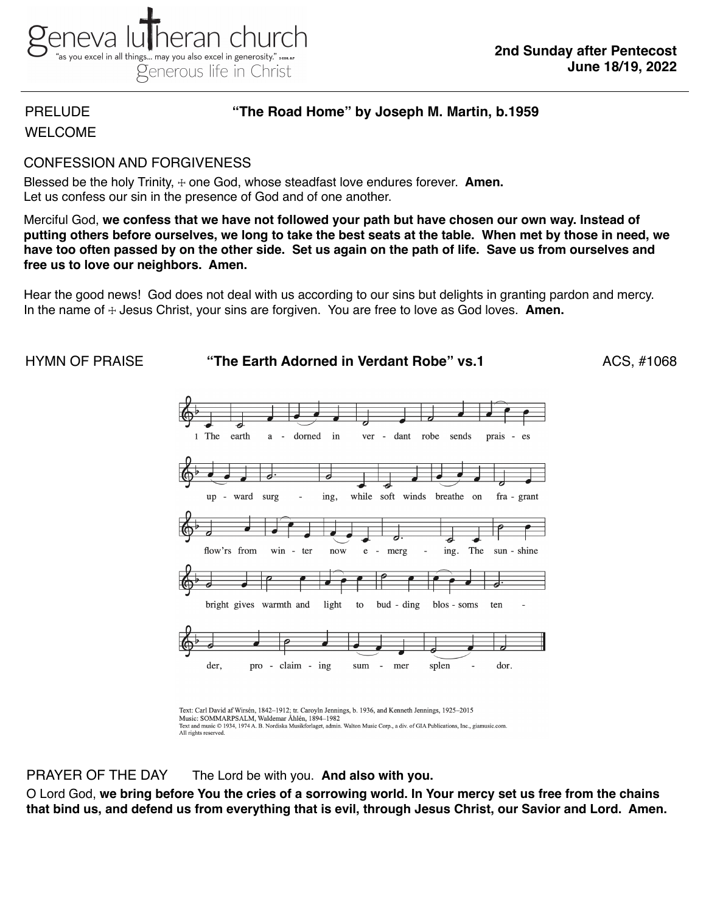# PRELUDE **"The Road Home" by Joseph M. Martin, b.1959**

WELCOME

# CONFESSION AND FORGIVENESS

Blessed be the holy Trinity,  $\pm$  one God, whose steadfast love endures forever. **Amen.** Let us confess our sin in the presence of God and of one another.

Merciful God, **we confess that we have not followed your path but have chosen our own way. Instead of putting others before ourselves, we long to take the best seats at the table. When met by those in need, we have too often passed by on the other side. Set us again on the path of life. Save us from ourselves and free us to love our neighbors. Amen.**

Hear the good news! God does not deal with us according to our sins but delights in granting pardon and mercy. In the name of ☩ Jesus Christ, your sins are forgiven. You are free to love as God loves. **Amen.**



Text: Carl David af Wirsén, 1842–1912; tr. Caroyln Jennings, b. 1936, and Kenneth Jennings, 1925–2015 Music: SOMMARPSALM, Waldemar Åhlén, 1894-1982 Text and music © 1934, 1974 A. B. Nordiska Musikforlaget, admin. Walton Music Corp., a div. of GIA Publications, Inc., giamusic.com. All rights reserved.

PRAYER OF THE DAY The Lord be with you. **And also with you.**

O Lord God, **we bring before You the cries of a sorrowing world. In Your mercy set us free from the chains that bind us, and defend us from everything that is evil, through Jesus Christ, our Savior and Lord. Amen.**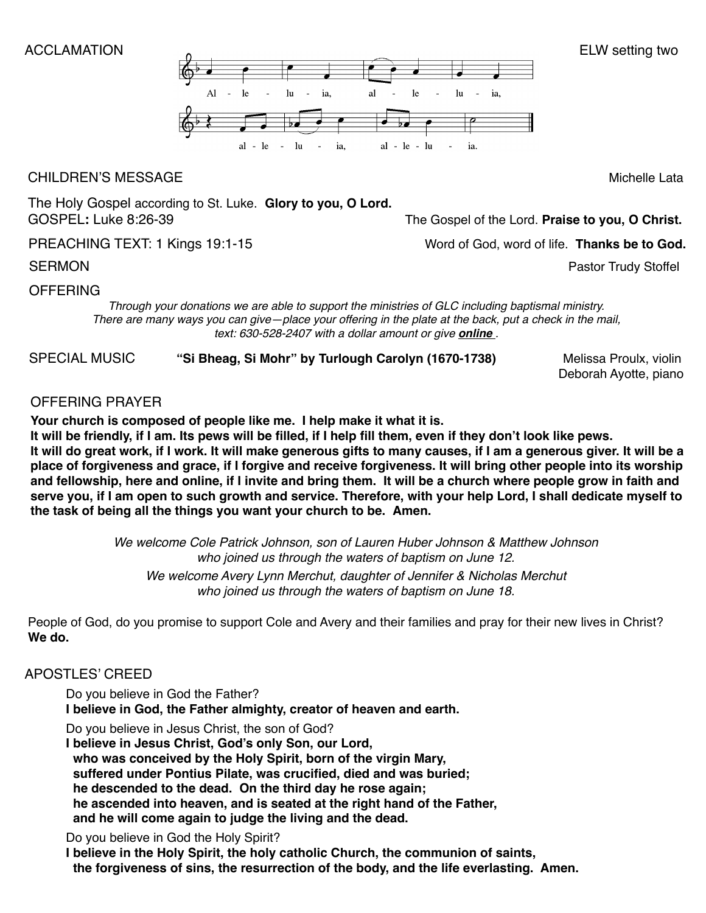

# CHILDREN'S MESSAGEMichelle Lata

The Holy Gospel according to St. Luke. **Glory to you, O Lord.**  GOSPEL**:** Luke 8:26-39 The Gospel of the Lord. **Praise to you, O Christ.**

PREACHING TEXT: 1 Kings 19:1-15Word of God, word of life. **Thanks be to God.**

SERMON Pastor Trudy Stoffel

# OFFERING

*Through your donations we are able to support the ministries of GLC including baptismal ministry. There are many ways you can give—place your offering in the plate at the back, put a check in the mail, text: 630-528-2407 with a dollar amount or give [online](https://secure.myvanco.com/YNE6) .*

SPECIAL MUSIC **"Si Bheag, Si Mohr" by Turlough Carolyn (1670-1738)** Melissa Proulx, violin

Deborah Ayotte, piano

# OFFERING PRAYER

**Your church is composed of people like me. I help make it what it is.**

**It will be friendly, if I am. Its pews will be filled, if I help fill them, even if they don't look like pews. It will do great work, if I work. It will make generous gifts to many causes, if I am a generous giver. It will be a place of forgiveness and grace, if I forgive and receive forgiveness. It will bring other people into its worship and fellowship, here and online, if I invite and bring them. It will be a church where people grow in faith and serve you, if I am open to such growth and service. Therefore, with your help Lord, I shall dedicate myself to the task of being all the things you want your church to be. Amen.**

> *We welcome Cole Patrick Johnson, son of Lauren Huber Johnson & Matthew Johnson who joined us through the waters of baptism on June 12. We welcome Avery Lynn Merchut, daughter of Jennifer & Nicholas Merchut who joined us through the waters of baptism on June 18.*

People of God, do you promise to support Cole and Avery and their families and pray for their new lives in Christ? **We do.**

# APOSTLES' CREED

Do you believe in God the Father? **I believe in God, the Father almighty, creator of heaven and earth.**

Do you believe in Jesus Christ, the son of God?

**I believe in Jesus Christ, God's only Son, our Lord, who was conceived by the Holy Spirit, born of the virgin Mary, suffered under Pontius Pilate, was crucified, died and was buried; he descended to the dead. On the third day he rose again; he ascended into heaven, and is seated at the right hand of the Father, and he will come again to judge the living and the dead.**

# Do you believe in God the Holy Spirit?

**I believe in the Holy Spirit, the holy catholic Church, the communion of saints, the forgiveness of sins, the resurrection of the body, and the life everlasting. Amen.**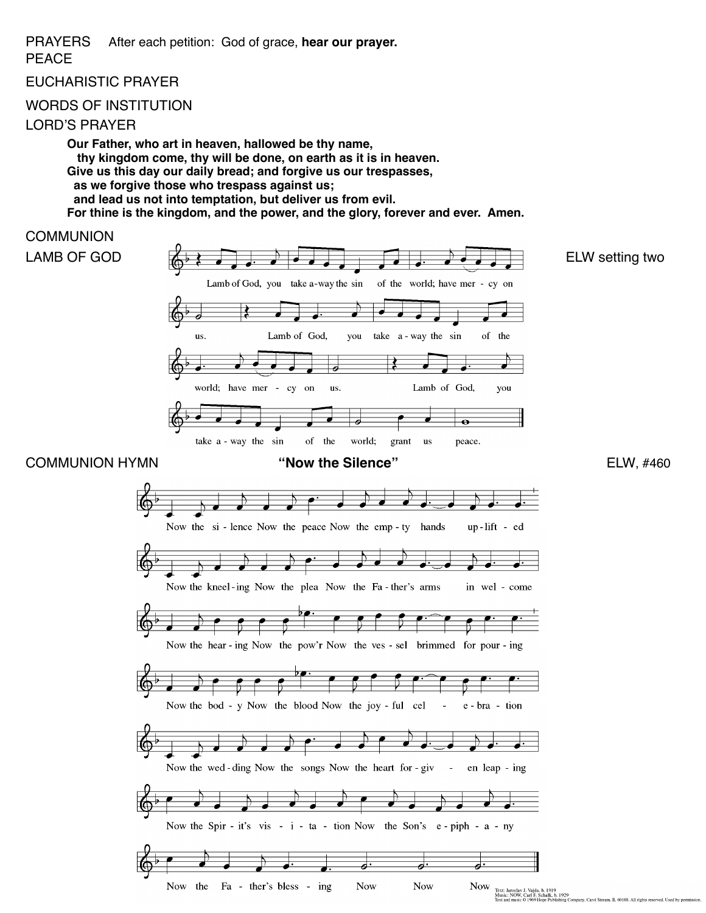PRAYERS After each petition: God of grace, **hear our prayer.**

# PEACE

EUCHARISTIC PRAYER

## WORDS OF INSTITUTION

## LORD'S PRAYER

**Our Father, who art in heaven, hallowed be thy name, thy kingdom come, thy will be done, on earth as it is in heaven. Give us this day our daily bread; and forgive us our trespasses, as we forgive those who trespass against us; and lead us not into temptation, but deliver us from evil. For thine is the kingdom, and the power, and the glory, forever and ever. Amen.**